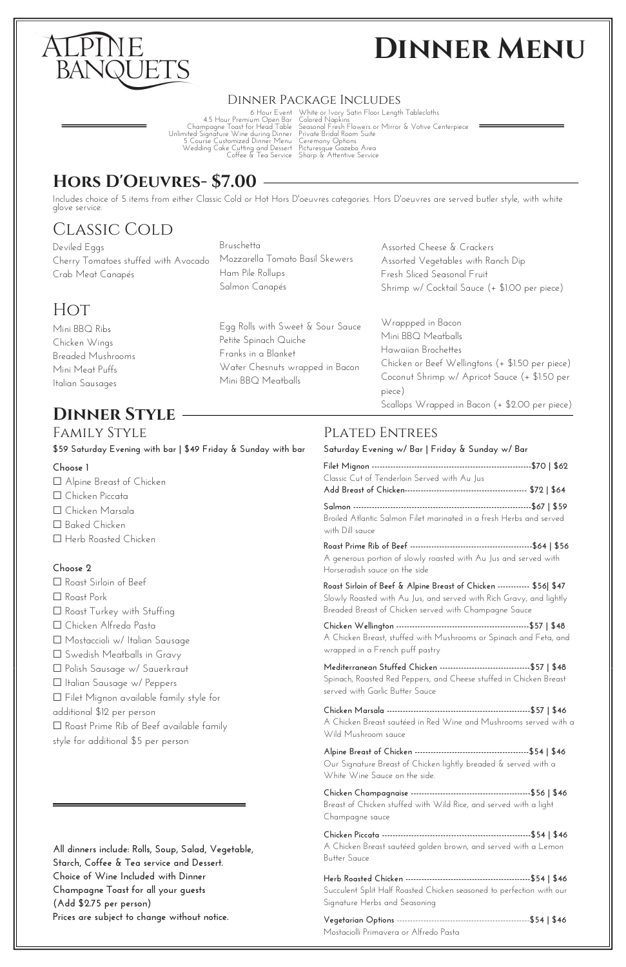

# **Dinner Menu**

6 Hour Event 4.5 Hour Premium Open Bar Champagne Toast for Head Table Unlimited Signature Wine during Dinner <sup>5</sup> Course Customized Dinner Menu Wedding Cake Cutting and Dessert Coffee & Tea Service

Deviled Eggs Cherry Tomatoes stuffed with Avocado Crab Meat Canapés

Mini BBQ Ribs Chicken Wings Breaded Mushrooms Mini Meat Puffs Italian Sausages

Includes choice of 5 items from either Classic Cold or Hot Hors D'oeuvres categories. Hors D'oeuvres are served butler style, with white glove service.

White or Ivory Satin Floor Length Tablecloths Colored Napkins Seasonal Fresh Flowers or Mirror & Votive Centerpiece Private Bridal Room Suite Ceremony Options Picturesque Gazebo Area Sharp & Attentive Service

#### Dinner Package Includes

#### **Dinner Style**

#### **Choose 1**

☐ Alpine Breast of Chicken ☐ Chicken Piccata ☐ Chicken Marsala ☐ Baked Chicken ☐ Herb Roasted Chicken **Choose 2** ☐ Roast Sirloin of Beef □ Roast Pork ☐ Roast Turkey with Stuffing ☐ Chicken Alfredo Pasta ☐ Mostaccioli w/ Italian Sausage ☐ Swedish Meatballs in Gravy ☐ Polish Sausage w/ Sauerkraut ☐ Italian Sausage w/ Peppers ☐ Filet Mignon available family style for

#### FAMILY STYLE PLATED ENTREES

additional \$12 per person ☐ Roast Prime Rib of Beef available family style for additional \$5 per person

> **Vegetarian Options** --------------------------------------------------**\$54 | \$46** Mostaciolli Primavera or Alfredo Pasta

#### **Hors D'Oeuvres- \$7.00**

#### Classic Cold

**All dinners include: Rolls, Soup, Salad, Vegetable, Starch, Coffee & Tea service and Dessert. Choice of Wine Included with Dinner Champagne Toast for all your guests (Add \$2.75 per person) Prices are subject to change without notice.**

| Saturday Evening w/ Bar   Friday & Sunday w/ Bar                                                                                                                                                        |  |
|---------------------------------------------------------------------------------------------------------------------------------------------------------------------------------------------------------|--|
| Classic Cut of Tenderloin Served with Au Jus                                                                                                                                                            |  |
| Broiled Atlantic Salmon Filet marinated in a fresh Herbs and served<br>with Dill sauce                                                                                                                  |  |
| A generous portion of slowly roasted with Au Jus and served with<br>Horseradish sauce on the side                                                                                                       |  |
| Roast Sirloin of Beef & Alpine Breast of Chicken ----------- \$56  \$47<br>Slowly Roasted with Au Jus, and served with Rich Gravy, and lightly<br>Breaded Breast of Chicken served with Champagne Sauce |  |
| A Chicken Breast, stuffed with Mushrooms or Spinach and Feta, and<br>wrapped in a French puff pastry                                                                                                    |  |
| Mediterranean Stuffed Chicken ----------------------------------\$57   \$48<br>Spinach, Roasted Red Peppers, and Cheese stuffed in Chicken Breast<br>served with Garlic Butter Sauce                    |  |

**Chicken Marsala ------------------------------------------------------\$57 | \$46** A Chicken Breast sautéed in Red Wine and Mushrooms served with a Wild Mushroom sauce

**Alpine Breast of Chicken -------------------------------------------\$54 | \$46** Our Signature Breast of Chicken lightly breaded & served with a White Wine Sauce on the side.

**Chicken Champagnaise ---------------------------------------------\$56 | \$46** Breast of Chicken stuffed with Wild Rice, and served with a light Champagne sauce

**Chicken Piccata --------------------------------------------------------\$54 | \$46** A Chicken Breast sautéed golden brown, and served with a Lemon Butter Sauce

**Herb Roasted Chicken -----------------------------------------------\$54 | \$46** Succulent Split Half Roasted Chicken seasoned to perfection with our Signature Herbs and Seasoning

Assorted Cheese & Crackers

Assorted Vegetables with Ranch Dip

Fresh Sliced Seasonal Fruit

Shrimp w/ Cocktail Sauce (+ \$1.00 per piece)

Bruschetta Mozzarella Tomato Basil Skewers Ham Pile Rollups Salmon Canapés

Egg Rolls with Sweet & Sour Sauce

Petite Spinach Quiche Franks in a Blanket

Water Chesnuts wrapped in Bacon

Mini BBQ Meatballs

#### **HOT**

Wrappped in Bacon Mini BBQ Meatballs Hawaiian Brochettes

Chicken or Beef Wellingtons (+ \$1.50 per piece) Coconut Shrimp w/ Apricot Sauce (+ \$1.50 per

piece)

Scallops Wrapped in Bacon (+ \$2.00 per piece)

**\$59 Saturday Evening with bar | \$49 Friday & Sunday with bar**